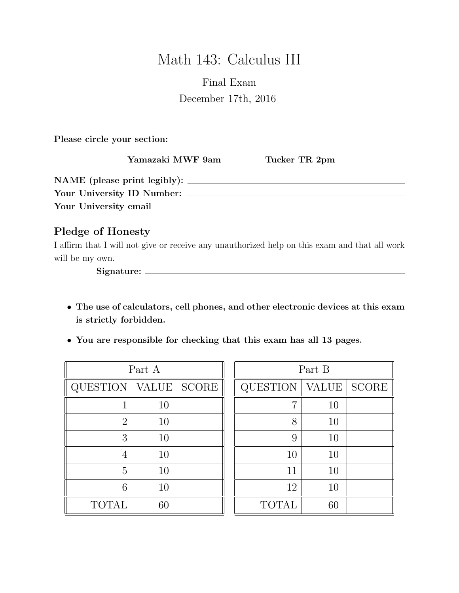# Math 143: Calculus III

## Final Exam December 17th, 2016

Please circle your section:

Yamazaki MWF 9am Tucker TR 2pm

| NAME (please print legibly): |  |
|------------------------------|--|
| Your University ID Number:   |  |
| Your University email        |  |

### Pledge of Honesty

I affirm that I will not give or receive any unauthorized help on this exam and that all work will be my own.

Signature:

- The use of calculators, cell phones, and other electronic devices at this exam is strictly forbidden.
- You are responsible for checking that this exam has all 13 pages.

| Part A         |              |              |  |  |
|----------------|--------------|--------------|--|--|
| QUESTION       | <b>VALUE</b> | <b>SCORE</b> |  |  |
|                | 10           |              |  |  |
| $\overline{2}$ | 10           |              |  |  |
| 3              | 10           |              |  |  |
| 4              | 10           |              |  |  |
| 5              | 10           |              |  |  |
| 6              | 10           |              |  |  |
| <b>TOTAL</b>   | 60           |              |  |  |

| Part B          |              |              |  |  |
|-----------------|--------------|--------------|--|--|
| <b>QUESTION</b> | <b>VALUE</b> | <b>SCORE</b> |  |  |
| 7               | 10           |              |  |  |
| 8               | 10           |              |  |  |
| 9               | 10           |              |  |  |
| 10              | 10           |              |  |  |
| 11              | 10           |              |  |  |
| 12              | 10           |              |  |  |
| <b>TOTAL</b>    | 60           |              |  |  |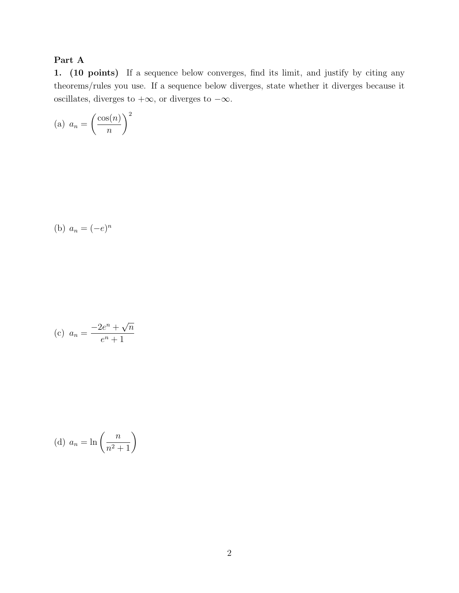#### Part A

1. (10 points) If a sequence below converges, find its limit, and justify by citing any theorems/rules you use. If a sequence below diverges, state whether it diverges because it oscillates, diverges to  $+\infty$ , or diverges to  $-\infty$ .

(a) 
$$
a_n = \left(\frac{\cos(n)}{n}\right)^2
$$

(b) 
$$
a_n = (-e)^n
$$

(c) 
$$
a_n = \frac{-2e^n + \sqrt{n}}{e^n + 1}
$$

(d) 
$$
a_n = \ln\left(\frac{n}{n^2+1}\right)
$$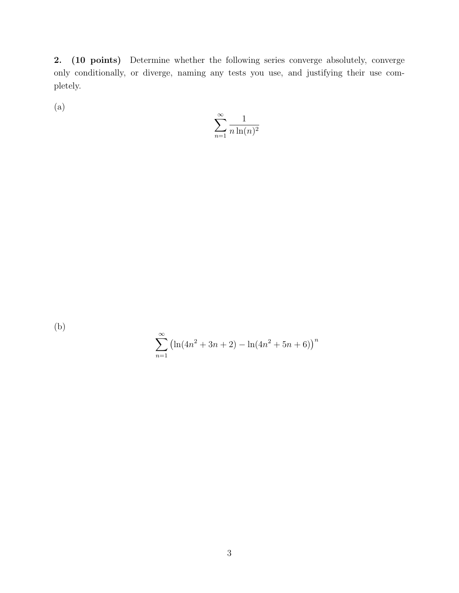2. (10 points) Determine whether the following series converge absolutely, converge only conditionally, or diverge, naming any tests you use, and justifying their use completely.

(a)

$$
\sum_{n=1}^{\infty} \frac{1}{n \ln(n)^2}
$$

(b)

$$
\sum_{n=1}^{\infty} (\ln(4n^2 + 3n + 2) - \ln(4n^2 + 5n + 6))^n
$$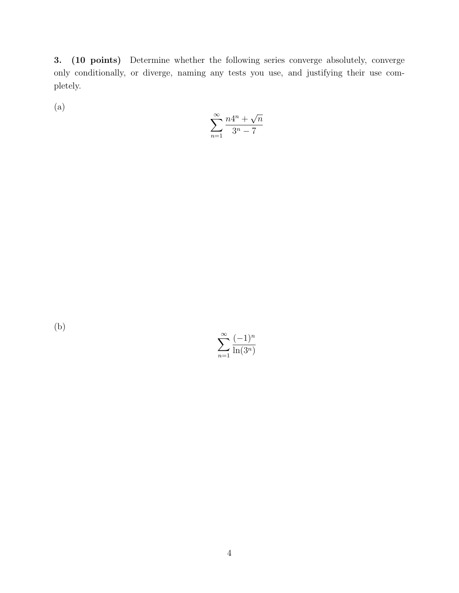3. (10 points) Determine whether the following series converge absolutely, converge only conditionally, or diverge, naming any tests you use, and justifying their use completely.

(a)

$$
\sum_{n=1}^{\infty} \frac{n4^n + \sqrt{n}}{3^n - 7}
$$

(b)

 $\sum^{\infty}$  $n=1$  $(-1)^n$  $ln(3^n)$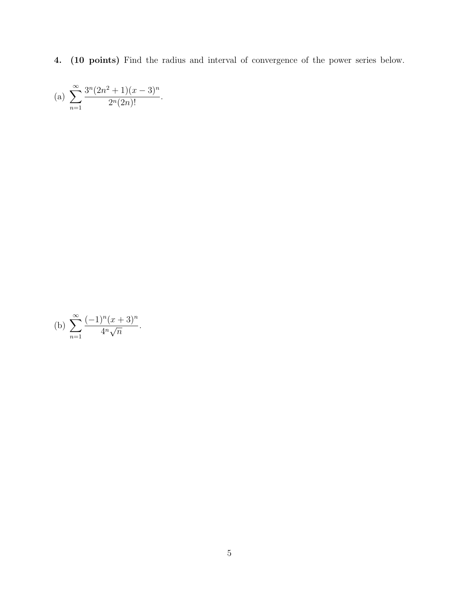4. (10 points) Find the radius and interval of convergence of the power series below.

(a) 
$$
\sum_{n=1}^{\infty} \frac{3^n (2n^2+1)(x-3)^n}{2^n (2n)!}.
$$

(b) 
$$
\sum_{n=1}^{\infty} \frac{(-1)^n (x+3)^n}{4^n \sqrt{n}}.
$$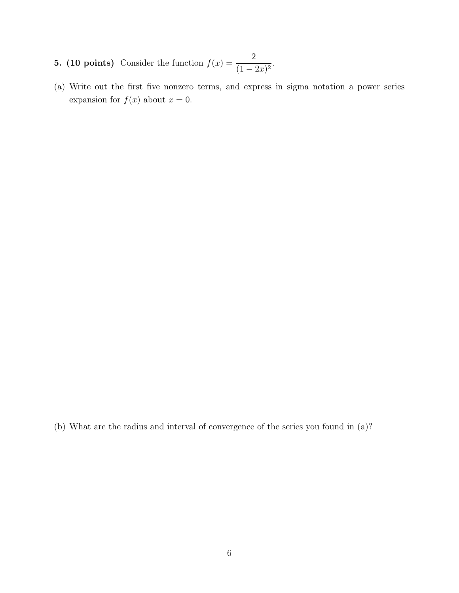- **5. (10 points)** Consider the function  $f(x) = \frac{2}{x-1}$  $\frac{2}{(1-2x)^2}$ .
- (a) Write out the first five nonzero terms, and express in sigma notation a power series expansion for  $f(x)$  about  $x = 0$ .

(b) What are the radius and interval of convergence of the series you found in (a)?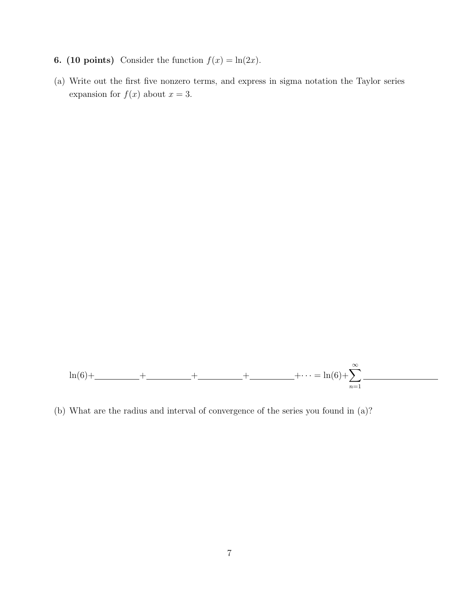- **6.** (10 points) Consider the function  $f(x) = \ln(2x)$ .
- (a) Write out the first five nonzero terms, and express in sigma notation the Taylor series expansion for  $f(x)$  about  $x = 3$ .



(b) What are the radius and interval of convergence of the series you found in (a)?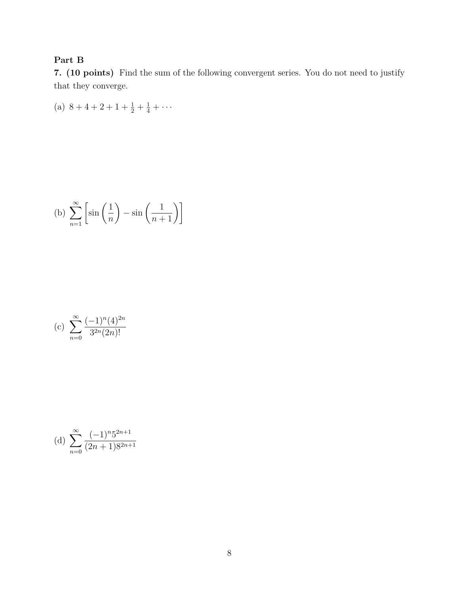#### Part B

7. (10 points) Find the sum of the following convergent series. You do not need to justify that they converge.

(a)  $8+4+2+1+\frac{1}{2}+\frac{1}{4}+\cdots$ 

(b) 
$$
\sum_{n=1}^{\infty} \left[ \sin\left(\frac{1}{n}\right) - \sin\left(\frac{1}{n+1}\right) \right]
$$

(c) 
$$
\sum_{n=0}^{\infty} \frac{(-1)^n (4)^{2n}}{3^{2n} (2n)!}
$$

(d) 
$$
\sum_{n=0}^{\infty} \frac{(-1)^n 5^{2n+1}}{(2n+1)8^{2n+1}}
$$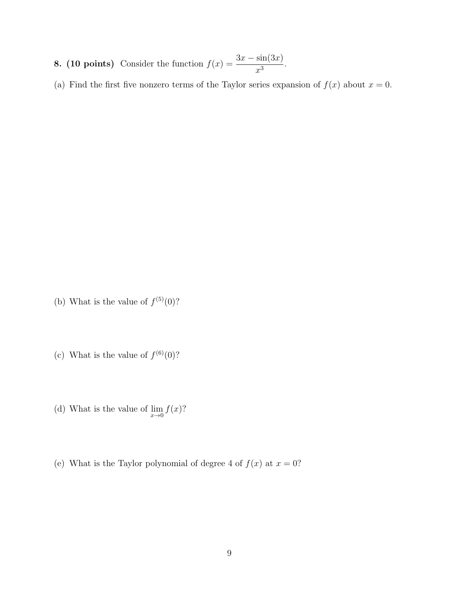- 8. (10 points) Consider the function  $f(x) = \frac{3x \sin(3x)}{x}$  $\frac{\sin(\theta x)}{x^3}$ .
- (a) Find the first five nonzero terms of the Taylor series expansion of  $f(x)$  about  $x = 0$ .

- (b) What is the value of  $f^{(5)}(0)$ ?
- (c) What is the value of  $f^{(6)}(0)$ ?
- (d) What is the value of  $\lim_{x\to 0} f(x)$ ?
- (e) What is the Taylor polynomial of degree 4 of  $f(x)$  at  $x = 0$ ?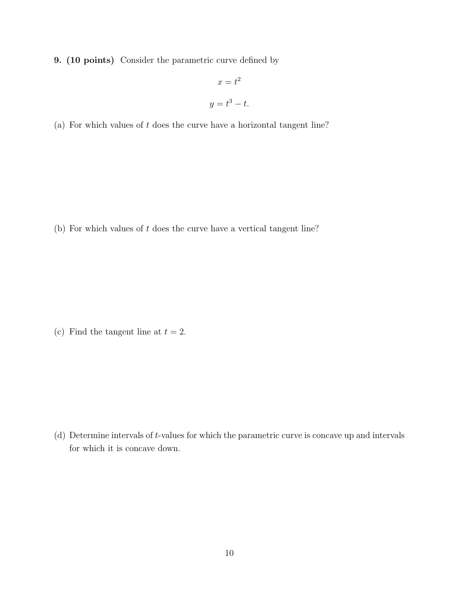9. (10 points) Consider the parametric curve defined by

$$
x = t^2
$$

$$
y = t^3 - t.
$$

(a) For which values of  $t$  does the curve have a horizontal tangent line?

(b) For which values of  $t$  does the curve have a vertical tangent line?

(c) Find the tangent line at  $t = 2$ .

(d) Determine intervals of t-values for which the parametric curve is concave up and intervals for which it is concave down.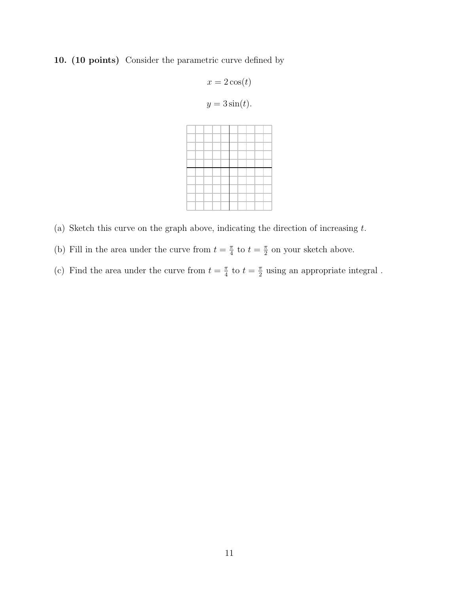#### 10. (10 points) Consider the parametric curve defined by

$$
x = 2\cos(t)
$$
  

$$
y = 3\sin(t).
$$

- (a) Sketch this curve on the graph above, indicating the direction of increasing  $t$ .
- (b) Fill in the area under the curve from  $t = \frac{\pi}{4}$  $\frac{\pi}{4}$  to  $t = \frac{\pi}{2}$  $\frac{\pi}{2}$  on your sketch above.
- (c) Find the area under the curve from  $t = \frac{\pi}{4}$  $\frac{\pi}{4}$  to  $t = \frac{\pi}{2}$  $\frac{\pi}{2}$  using an appropriate integral.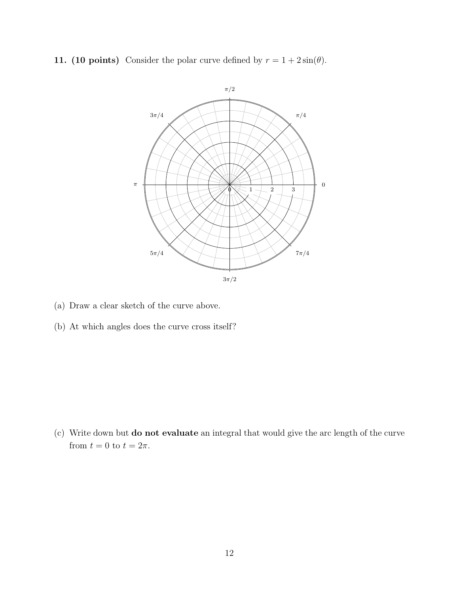11. (10 points) Consider the polar curve defined by  $r = 1 + 2\sin(\theta)$ .



- (a) Draw a clear sketch of the curve above.
- (b) At which angles does the curve cross itself?

(c) Write down but do not evaluate an integral that would give the arc length of the curve from  $t = 0$  to  $t = 2\pi$ .